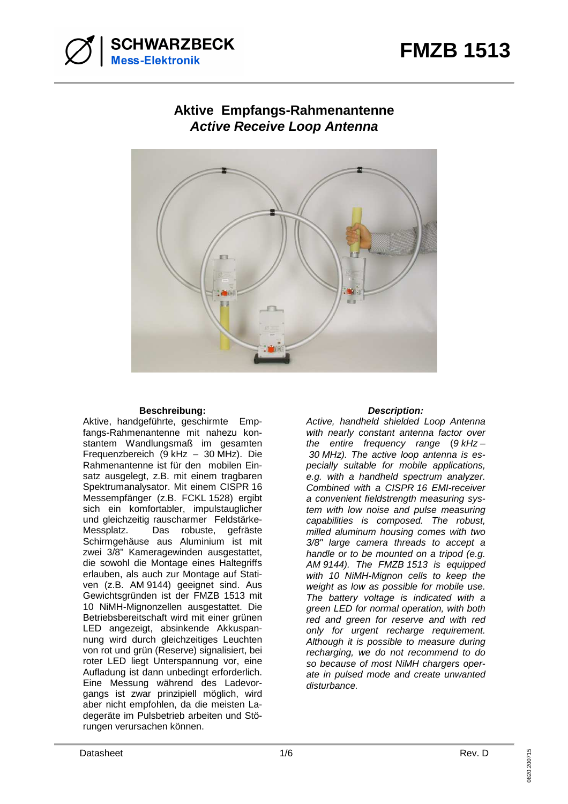

# **Aktive Empfangs-Rahmenantenne Active Receive Loop Antenna**



### **Beschreibung: Description:**

Aktive, handgeführte, geschirmte Empfangs-Rahmenantenne mit nahezu konstantem Wandlungsmaß im gesamten Frequenzbereich (9 kHz – 30 MHz). Die Rahmenantenne ist für den mobilen Einsatz ausgelegt, z.B. mit einem tragbaren Spektrumanalysator. Mit einem CISPR 16 Messempfänger (z.B. FCKL 1528) ergibt sich ein komfortabler, impulstauglicher und gleichzeitig rauscharmer Feldstärke-Messplatz. Das robuste, gefräste Schirmgehäuse aus Aluminium ist mit zwei 3/8" Kameragewinden ausgestattet, die sowohl die Montage eines Haltegriffs erlauben, als auch zur Montage auf Stativen (z.B. AM 9144) geeignet sind. Aus Gewichtsgründen ist der FMZB 1513 mit 10 NiMH-Mignonzellen ausgestattet. Die Betriebsbereitschaft wird mit einer grünen LED angezeigt, absinkende Akkuspannung wird durch gleichzeitiges Leuchten von rot und grün (Reserve) signalisiert, bei roter LED liegt Unterspannung vor, eine Aufladung ist dann unbedingt erforderlich. Eine Messung während des Ladevorgangs ist zwar prinzipiell möglich, wird aber nicht empfohlen, da die meisten Ladegeräte im Pulsbetrieb arbeiten und Störungen verursachen können.

Active, handheld shielded Loop Antenna with nearly constant antenna factor over the entire frequency range  $(9 \text{ kHz} -$  30 MHz). The active loop antenna is especially suitable for mobile applications, e.g. with a handheld spectrum analyzer. Combined with a CISPR 16 EMI-receiver a convenient fieldstrength measuring system with low noise and pulse measuring capabilities is composed. The robust, milled aluminum housing comes with two 3/8" large camera threads to accept a handle or to be mounted on a tripod (e.g. AM 9144). The FMZB 1513 is equipped with 10 NiMH-Mignon cells to keep the weight as low as possible for mobile use. The battery voltage is indicated with a green LED for normal operation, with both red and green for reserve and with red only for urgent recharge requirement. Although it is possible to measure during recharging, we do not recommend to do so because of most NiMH chargers operate in pulsed mode and create unwanted disturbance.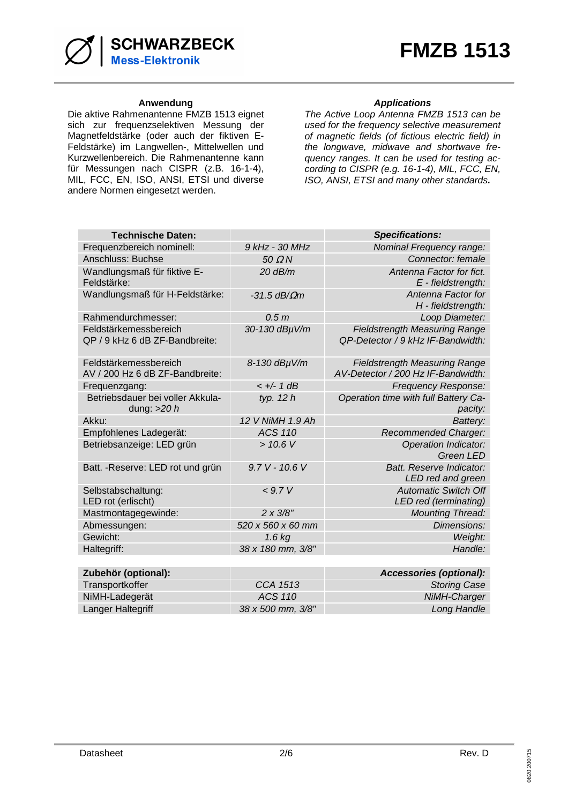

Die aktive Rahmenantenne FMZB 1513 eignet sich zur frequenzselektiven Messung der Magnetfeldstärke (oder auch der fiktiven E-Feldstärke) im Langwellen-, Mittelwellen und Kurzwellenbereich. Die Rahmenantenne kann für Messungen nach CISPR (z.B. 16-1-4), MIL, FCC, EN, ISO, ANSI, ETSI und diverse andere Normen eingesetzt werden.

### Anwendung
anticons
and the set of the set of the set of the set of the set of the set of the set of the set of the set of the set of the set of the set of the set of the set of the set of the set of the set of the set of t

The Active Loop Antenna FMZB 1513 can be used for the frequency selective measurement of magnetic fields (of fictious electric field) in the longwave, midwave and shortwave frequency ranges. It can be used for testing according to CISPR (e.g. 16-1-4), MIL, FCC, EN, ISO, ANSI, ETSI and many other standards**.** 

| <b>Technische Daten:</b>                                 |                        | <b>Specifications:</b>                                                     |
|----------------------------------------------------------|------------------------|----------------------------------------------------------------------------|
| Frequenzbereich nominell:                                | 9 kHz - 30 MHz         | <b>Nominal Frequency range:</b>                                            |
| Anschluss: Buchse                                        | $50 \Omega N$          | Connector: female                                                          |
| Wandlungsmaß für fiktive E-<br>Feldstärke:               | $20$ dB/m              | Antenna Factor for fict.<br>E - fieldstrength:                             |
| Wandlungsmaß für H-Feldstärke:                           | $-31.5$ dB/ $\Omega$ m | Antenna Factor for<br>H - fieldstrength:                                   |
| Rahmendurchmesser:                                       | 0.5 <sub>m</sub>       | Loop Diameter:                                                             |
| Feldstärkemessbereich<br>QP / 9 kHz 6 dB ZF-Bandbreite:  | 30-130 dBµV/m          | <b>Fieldstrength Measuring Range</b><br>QP-Detector / 9 kHz IF-Bandwidth:  |
| Feldstärkemessbereich<br>AV / 200 Hz 6 dB ZF-Bandbreite: | 8-130 dBµV/m           | <b>Fieldstrength Measuring Range</b><br>AV-Detector / 200 Hz IF-Bandwidth: |
| Frequenzgang:                                            | $< +/- 1$ dB           | Frequency Response:                                                        |
| Betriebsdauer bei voller Akkula-<br>dung: $>20 h$        | typ. $12 h$            | Operation time with full Battery Ca-<br>pacity:                            |
| Akku:                                                    | 12 V NiMH 1.9 Ah       | Battery:                                                                   |
| Empfohlenes Ladegerät:                                   | <b>ACS 110</b>         | Recommended Charger:                                                       |
| Betriebsanzeige: LED grün                                | > 10.6 V               | <b>Operation Indicator:</b><br><b>Green LED</b>                            |
| Batt. - Reserve: LED rot und grün                        | 9.7 V - 10.6 V         | Batt. Reserve Indicator:<br>LED red and green                              |
| Selbstabschaltung:<br>LED rot (erlischt)                 | < 9.7 V                | <b>Automatic Switch Off</b><br>LED red (terminating)                       |
| Mastmontagegewinde:                                      | $2 \times 3/8"$        | <b>Mounting Thread:</b>                                                    |
| Abmessungen:                                             | 520 x 560 x 60 mm      | Dimensions:                                                                |
| Gewicht:                                                 | $1.6$ kg               | Weight:                                                                    |
| Haltegriff:                                              | 38 x 180 mm, 3/8"      | Handle:                                                                    |
|                                                          |                        |                                                                            |
| Zubehör (optional):                                      |                        | Accessories (optional):                                                    |
| Transportkoffer                                          | CCA 1513               | <b>Storing Case</b>                                                        |
| NiMH-Ladegerät                                           | <b>ACS 110</b>         | NiMH-Charger                                                               |
| Langer Haltegriff                                        | 38 x 500 mm, 3/8"      | Long Handle                                                                |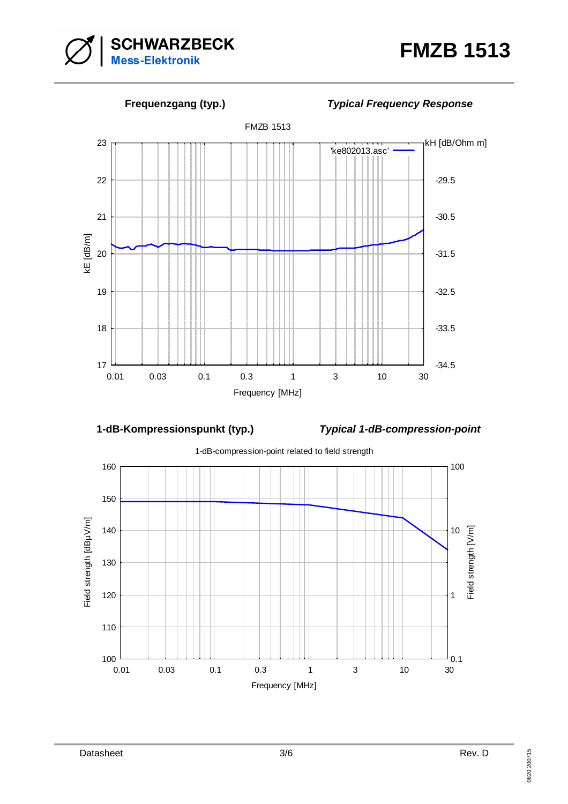



**1-dB-Kompressionspunkt (typ.) Typical 1-dB-compression-point** 

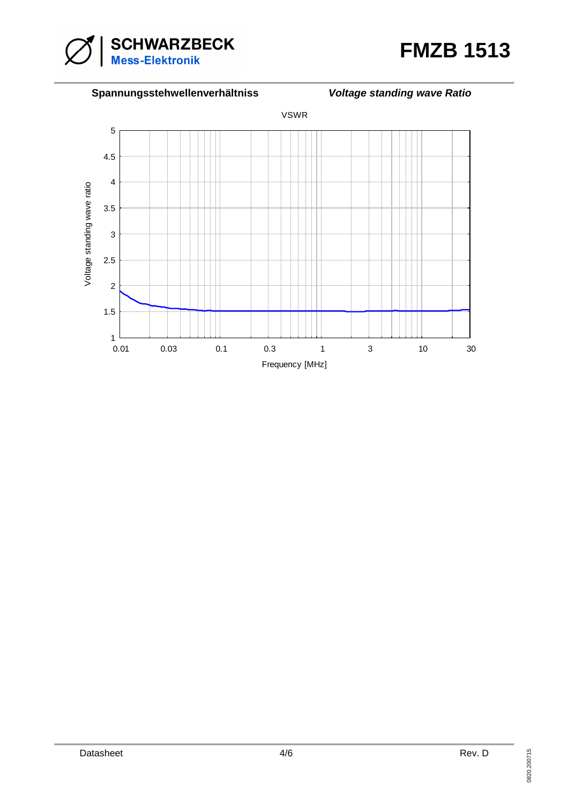



## **Spannungsstehwellenverhältniss Voltage standing wave Ratio**

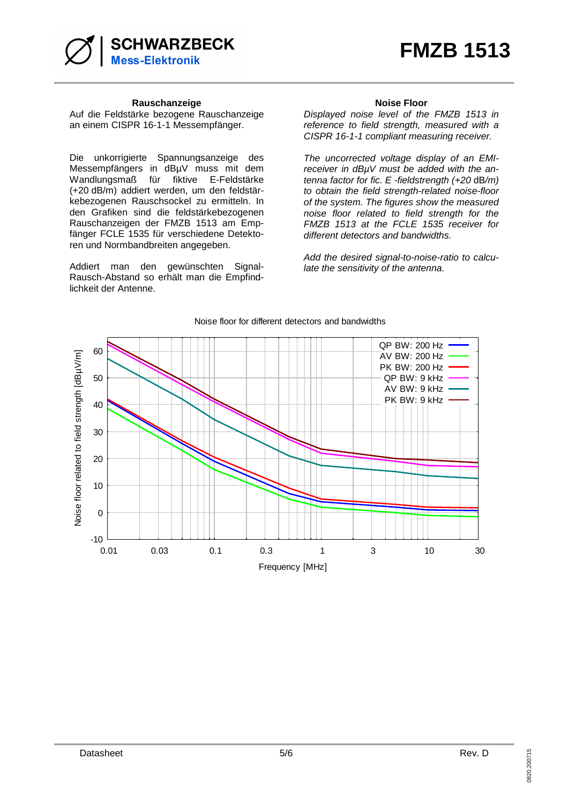

### **Rauschanzeige Community Community Rauschanzeige Community Relationships Noise Floor**

Auf die Feldstärke bezogene Rauschanzeige an einem CISPR 16-1-1 Messempfänger.

Die unkorrigierte Spannungsanzeige des Messempfängers in dBµV muss mit dem Wandlungsmaß für fiktive E-Feldstärke (+20 dB/m) addiert werden, um den feldstärkebezogenen Rauschsockel zu ermitteln. In den Grafiken sind die feldstärkebezogenen Rauschanzeigen der FMZB 1513 am Empfänger FCLE 1535 für verschiedene Detektoren und Normbandbreiten angegeben.

Addiert man den gewünschten Signal-Rausch-Abstand so erhält man die Empfindlichkeit der Antenne.

Displayed noise level of the FMZB 1513 in reference to field strength, measured with a CISPR 16-1-1 compliant measuring receiver.

The uncorrected voltage display of an EMIreceiver in dBµV must be added with the antenna factor for fic. E -fieldstrength (+20 dB/m) to obtain the field strength-related noise-floor of the system. The figures show the measured noise floor related to field strength for the FMZB 1513 at the FCLE 1535 receiver for different detectors and bandwidths.

Add the desired signal-to-noise-ratio to calculate the sensitivity of the antenna.



### Noise floor for different detectors and bandwidths